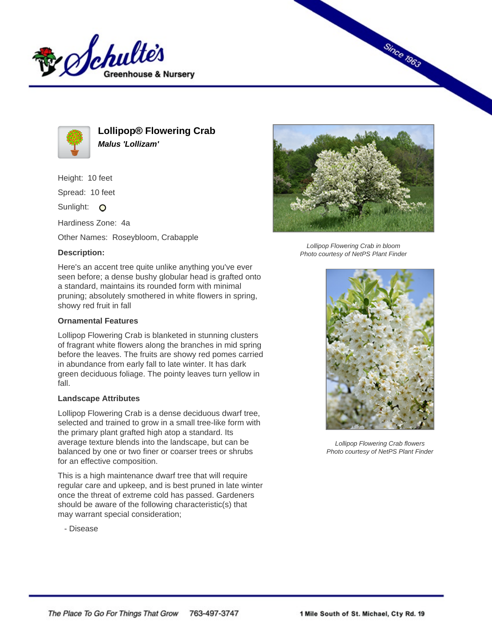



**Lollipop® Flowering Crab Malus 'Lollizam'**

Height: 10 feet

Spread: 10 feet

Sunlight: O

Hardiness Zone: 4a

Other Names: Roseybloom, Crabapple

## **Description:**



## **Ornamental Features**

Lollipop Flowering Crab is blanketed in stunning clusters of fragrant white flowers along the branches in mid spring before the leaves. The fruits are showy red pomes carried in abundance from early fall to late winter. It has dark green deciduous foliage. The pointy leaves turn yellow in fall.

## **Landscape Attributes**

Lollipop Flowering Crab is a dense deciduous dwarf tree, selected and trained to grow in a small tree-like form with the primary plant grafted high atop a standard. Its average texture blends into the landscape, but can be balanced by one or two finer or coarser trees or shrubs for an effective composition.

This is a high maintenance dwarf tree that will require regular care and upkeep, and is best pruned in late winter once the threat of extreme cold has passed. Gardeners should be aware of the following characteristic(s) that may warrant special consideration;

- Disease



**Since 1963** 

Lollipop Flowering Crab in bloom Photo courtesy of NetPS Plant Finder



Lollipop Flowering Crab flowers Photo courtesy of NetPS Plant Finder